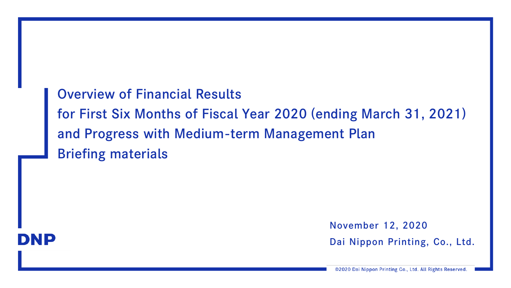Overview of Financial Results for First Six Months of Fiscal Year 2020 (ending March 31, 2021) and Progress with Medium-term Management Plan Briefing materials



November 12, 2020

Dai Nippon Printing, Co., Ltd.

©2020 Dai Nippon Printing Co., Ltd. All Rights Reserved.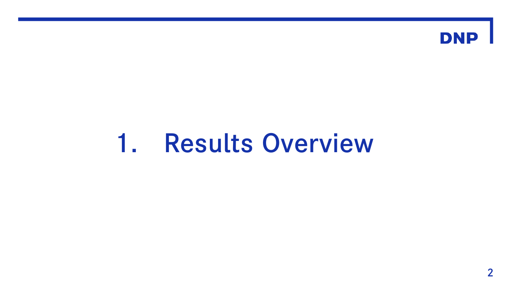

# 1. Results Overview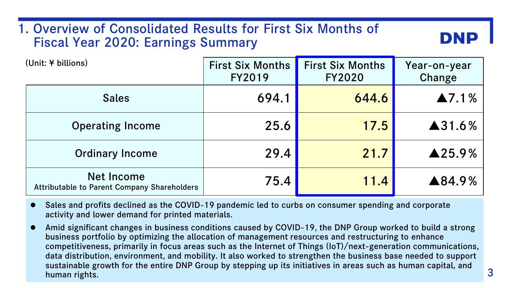# 1. Overview of Consolidated Results for First Six Months of Fiscal Year 2020: Earnings Summary

| (Unit: ¥ billions)                                                      | <b>First Six Months</b><br><b>FY2019</b> | <b>First Six Months</b><br><b>FY2020</b> | Year-on-year<br>Change |
|-------------------------------------------------------------------------|------------------------------------------|------------------------------------------|------------------------|
| <b>Sales</b>                                                            | 694.1                                    | 644.6                                    | $\blacktriangle$ 7.1%  |
| <b>Operating Income</b>                                                 | 25.6                                     | 17.5                                     | ▲31.6%                 |
| <b>Ordinary Income</b>                                                  | 29.4                                     | 21.7                                     | $\triangle$ 25.9%      |
| <b>Net Income</b><br><b>Attributable to Parent Company Shareholders</b> | 75.4                                     | 11.4                                     | ▲84.9%                 |

 Sales and profits declined as the COVID-19 pandemic led to curbs on consumer spending and corporate activity and lower demand for printed materials.

 Amid significant changes in business conditions caused by COVID-19, the DNP Group worked to build a strong business portfolio by optimizing the allocation of management resources and restructuring to enhance competitiveness, primarily in focus areas such as the Internet of Things (IoT)/next-generation communications, data distribution, environment, and mobility. It also worked to strengthen the business base needed to support sustainable growth for the entire DNP Group by stepping up its initiatives in areas such as human capital, and human rights.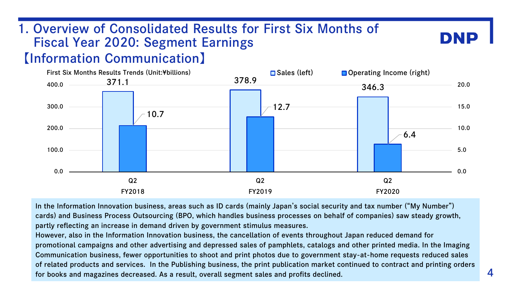# 1. Overview of Consolidated Results for First Six Months of Fiscal Year 2020: Segment Earnings

# 【Information Communication】



In the Information Innovation business, areas such as ID cards (mainly Japan's social security and tax number ("My Number") cards) and Business Process Outsourcing (BPO, which handles business processes on behalf of companies) saw steady growth, partly reflecting an increase in demand driven by government stimulus measures.

However, also in the Information Innovation business, the cancellation of events throughout Japan reduced demand for promotional campaigns and other advertising and depressed sales of pamphlets, catalogs and other printed media. In the Imaging Communication business, fewer opportunities to shoot and print photos due to government stay-at-home requests reduced sales of related products and services. In the Publishing business, the print publication market continued to contract and printing orders for books and magazines decreased. As a result, overall segment sales and profits declined.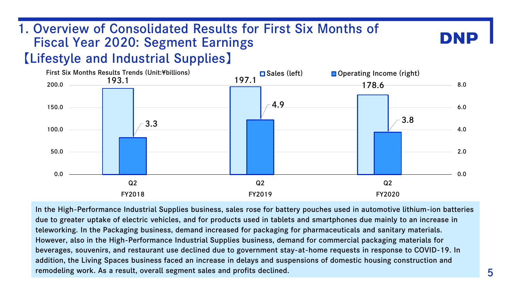# 1. Overview of Consolidated Results for First Six Months of Fiscal Year 2020: Segment Earnings

# 【Lifestyle and Industrial Supplies】



In the High-Performance Industrial Supplies business, sales rose for battery pouches used in automotive lithium-ion batteries due to greater uptake of electric vehicles, and for products used in tablets and smartphones due mainly to an increase in teleworking. In the Packaging business, demand increased for packaging for pharmaceuticals and sanitary materials. However, also in the High-Performance Industrial Supplies business, demand for commercial packaging materials for beverages, souvenirs, and restaurant use declined due to government stay-at-home requests in response to COVID-19. In addition, the Living Spaces business faced an increase in delays and suspensions of domestic housing construction and remodeling work. As a result, overall segment sales and profits declined.

DNI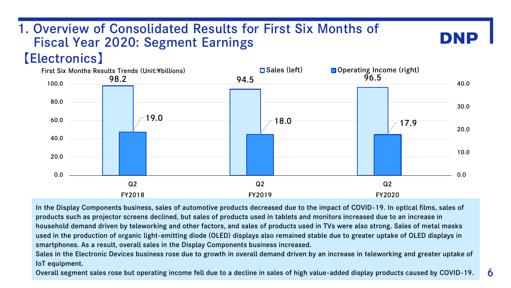# 1. Overview of Consolidated Results for First Six Months of Fiscal Year 2020: Segment Earnings

# 【Electronics】



In the Display Components business, sales of automotive products decreased due to the impact of COVID-19. In optical films, sales of products such as projector screens declined, but sales of products used in tablets and monitors increased due to an increase in household demand driven by teleworking and other factors, and sales of products used in TVs were also strong. Sales of metal masks used in the production of organic light-emitting diode (OLED) displays also remained stable due to greater uptake of OLED displays in smartphones. As a result, overall sales in the Display Components business increased.

Sales in the Electronic Devices business rose due to growth in overall demand driven by an increase in teleworking and greater uptake of IoT equipment.

Overall segment sales rose but operating income fell due to a decline in sales of high value-added display products caused by COVID-19.

DNI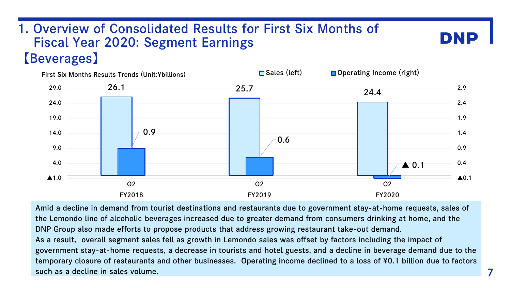# 【Beverages】 1. Overview of Consolidated Results for First Six Months of Fiscal Year 2020: Segment Earnings



Amid a decline in demand from tourist destinations and restaurants due to government stay-at-home requests, sales of the Lemondo line of alcoholic beverages increased due to greater demand from consumers drinking at home, and the DNP Group also made efforts to propose products that address growing restaurant take-out demand. As a result、overall segment sales fell as growth in Lemondo sales was offset by factors including the impact of government stay-at-home requests, a decrease in tourists and hotel guests, and a decline in beverage demand due to the temporary closure of restaurants and other businesses. Operating income declined to a loss of ¥0.1 billion due to factors such as a decline in sales volume.

DNP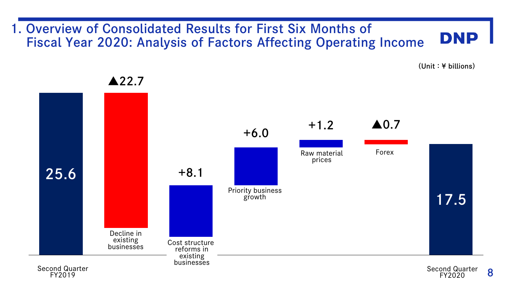#### 1. Overview of Consolidated Results for First Six Months of **DNP** Fiscal Year 2020: Analysis of Factors Affecting Operating Income

(Unit:¥ billions)



▲22.7

FY2019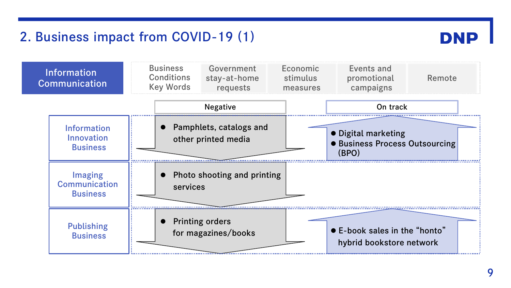# 2. Business impact from COVID-19 (1)



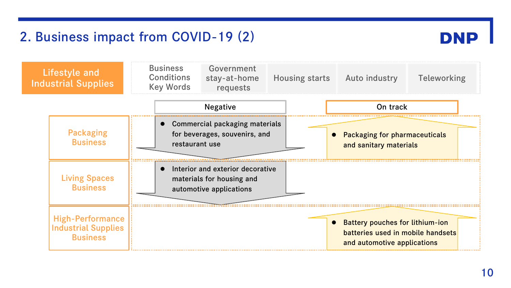# 2. Business impact from COVID-19 (2)



| <b>Lifestyle and</b><br><b>Industrial Supplies</b>                       | <b>Business</b><br><b>Conditions</b><br><b>Key Words</b> | Government<br>stay-at-home<br>requests                                                   | <b>Housing starts</b> | Auto industry                                                                                         | Teleworking |
|--------------------------------------------------------------------------|----------------------------------------------------------|------------------------------------------------------------------------------------------|-----------------------|-------------------------------------------------------------------------------------------------------|-------------|
|                                                                          |                                                          | <b>Negative</b>                                                                          |                       | On track                                                                                              |             |
| <b>Packaging</b><br><b>Business</b>                                      |                                                          | Commercial packaging materials<br>for beverages, souvenirs, and<br>restaurant use        |                       | • Packaging for pharmaceuticals<br>and sanitary materials                                             |             |
| <b>Living Spaces</b><br><b>Business</b>                                  |                                                          | Interior and exterior decorative<br>materials for housing and<br>automotive applications |                       |                                                                                                       |             |
| <b>High-Performance</b><br><b>Industrial Supplies</b><br><b>Business</b> |                                                          |                                                                                          |                       | • Battery pouches for lithium-ion<br>batteries used in mobile handsets<br>and automotive applications |             |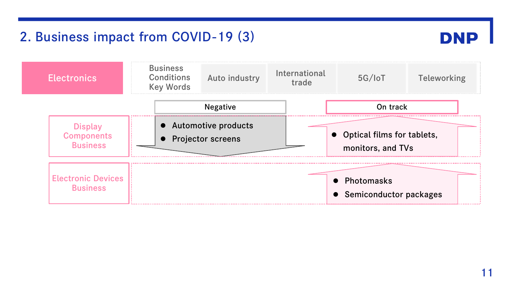# 2. Business impact from COVID-19 (3)



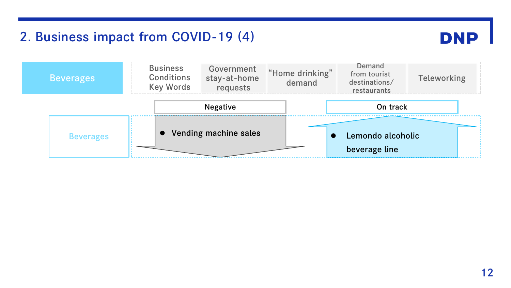# 2. Business impact from COVID-19 (4)



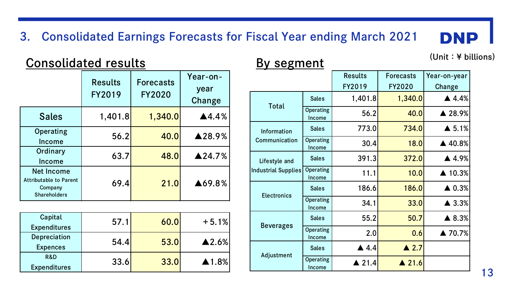# 3. Consolidated Earnings Forecasts for Fiscal Year ending March 2021

# Consolidated results By segment (Unit: ¥ billions)

|                                                                                      | <b>Results</b><br>FY2019 | <b>Forecasts</b><br><b>FY2020</b> | Year-on-<br>year<br>Change |
|--------------------------------------------------------------------------------------|--------------------------|-----------------------------------|----------------------------|
| <b>Sales</b>                                                                         | 1,401.8                  | 1,340.0                           | $\blacktriangle$ 4.4%      |
| Operating<br>Income                                                                  | 56.2                     | 40.0                              | ▲28.9%                     |
| Ordinary<br>Income                                                                   | 63.7                     | 48.0                              | $\triangle$ 24.7%          |
| <b>Net Income</b><br><b>Attributable to Parent</b><br>Company<br><b>Shareholders</b> | 69.4                     | 21.0                              | ▲69.8%                     |

| Capital<br><b>Expenditures</b>        | 57.1  | 60.0 | $+5.1%$               |
|---------------------------------------|-------|------|-----------------------|
| Depreciation<br><b>Expences</b>       | 54.4  | 53.0 | $\blacktriangle$ 2.6% |
| <b>R&amp;D</b><br><b>Expenditures</b> | 33.6' | 33.0 | $\triangle$ 1.8%      |

|                     |                     | <b>Results</b>       | <b>Forecasts</b> | Year-on-year           |
|---------------------|---------------------|----------------------|------------------|------------------------|
|                     |                     | FY2019               | FY2020           | Change                 |
| Total               | <b>Sales</b>        | 1,401.8              | 1,340.0          | $\blacktriangle$ 4.4%  |
|                     | Operating<br>Income | 56.2                 | 40.0             | ▲ 28.9%                |
| Information         | <b>Sales</b>        | 773.0                | 734.0            | $\triangle$ 5.1%       |
| Communication       | Operating<br>Income | 30.4                 | 18.0             | ▲ 40.8%                |
| Lifestyle and       | <b>Sales</b>        | 391.3                | 372.0            | ▲ 4.9%                 |
| Industrial Supplies | Operating<br>Income | 11.1                 | 10.0             | $\blacktriangle$ 10.3% |
| <b>Electronics</b>  | <b>Sales</b>        | 186.6                | 186.0            | $\triangle$ 0.3%       |
|                     | Operating<br>Income | 34.1                 | 33.0             | $\blacktriangle$ 3.3%  |
| <b>Beverages</b>    | <b>Sales</b>        | 55.2                 | 50.7             | ▲ 8.3%                 |
|                     | Operating<br>Income | 2.0                  | 0.6              | ▲ 70.7%                |
| Adjustment          | <b>Sales</b>        | $\blacktriangle$ 4.4 | $\triangle$ 2.7  |                        |
|                     | Operating<br>Income | $\triangle$ 21.4     | $\triangle$ 21.6 |                        |

**DNP**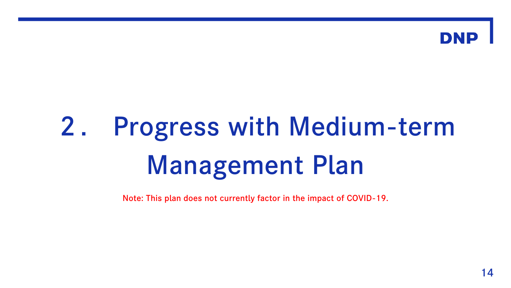

# 2. Progress with Medium-term Management Plan

Note: This plan does not currently factor in the impact of COVID-19.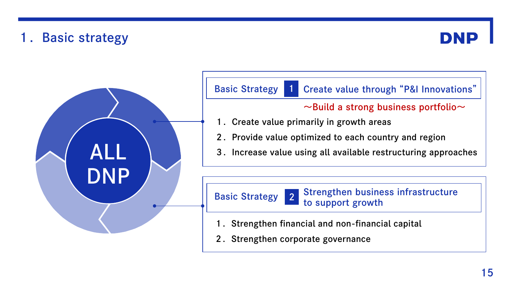# 1. Basic strategy



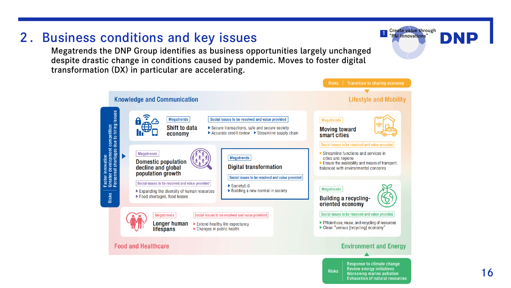

# 2.Business conditions and key issues

Megatrends the DNP Group identifies as business opportunities largely unchanged despite drastic change in conditions caused by pandemic. Moves to foster digital transformation (DX) in particular are accelerating.

**1** Create value through "<br>"P&I Innovations"

**Exhaustion of natural resources** 

DNE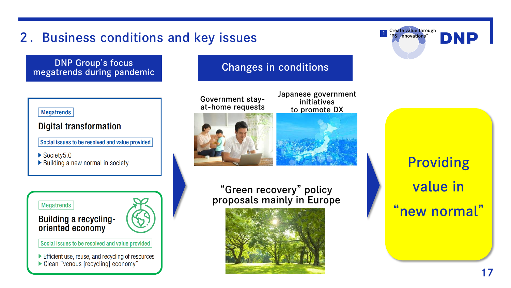# 2.Business conditions and key issues

DNP Group's focus DNP Group's focus<br>
megatrends during pandemic Changes in conditions

#### **Megatrends**

#### **Digital transformation**

Social issues to be resolved and value provided

 $\triangleright$  Society 5.0

▶ Building a new normal in society

#### **Megatrends**

#### **Building a recycling**oriented economy



Social issues to be resolved and value provided

Efficient use, reuse, and recycling of resources Clean "venous [recycling] economy"



Japanese government initiatives to promote DX



### "Green recovery" policy proposals mainly in Europe



Providing value in "new normal"

**DNP** 

**1** Create value through "<br>"P&I Innovations"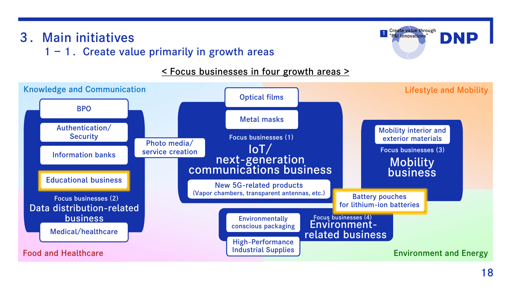# 3.Main initiatives

## $1 - 1$ . Create value primarily in growth areas

### < Focus businesses in four growth areas >



**1** Create value through "<br>"P&I Innovations"

**DNP**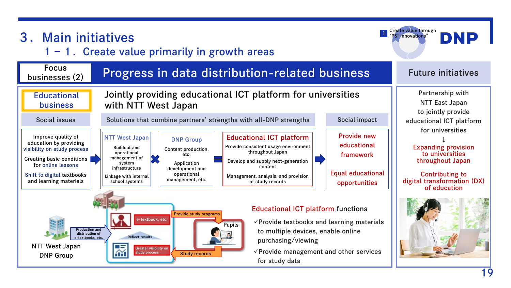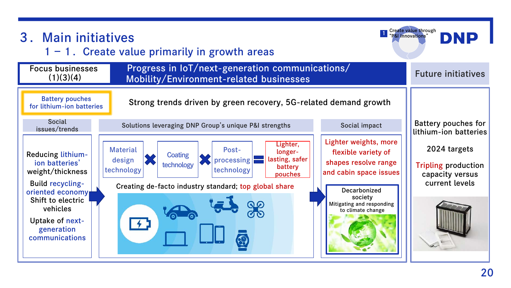| 3. Main initiatives<br>$1 - 1$ . Create value primarily in growth areas                                | Create value through<br>DNP<br><b>P&amp;I Innovations</b>                                                                                                                                                                                                                                                                                             |                                                                                 |
|--------------------------------------------------------------------------------------------------------|-------------------------------------------------------------------------------------------------------------------------------------------------------------------------------------------------------------------------------------------------------------------------------------------------------------------------------------------------------|---------------------------------------------------------------------------------|
| <b>Focus businesses</b><br>(1)(3)(4)                                                                   | Progress in IoT/next-generation communications/<br>Mobility/Environment-related businesses                                                                                                                                                                                                                                                            | <b>Future initiatives</b>                                                       |
| <b>Battery pouches</b><br>for lithium-ion batteries                                                    | Strong trends driven by green recovery, 5G-related demand growth                                                                                                                                                                                                                                                                                      |                                                                                 |
| <b>Social</b><br>issues/trends                                                                         | Solutions leveraging DNP Group's unique P&I strengths<br>Social impact                                                                                                                                                                                                                                                                                | <b>Battery pouches for</b><br>lithium-ion batteries                             |
| Reducing lithium-<br>ion batteries'<br>weight/thickness<br><b>Build recycling-</b><br>oriented economy | Lighter weights, more<br>Lighter,<br><b>Material</b><br>Post-<br>flexible variety of<br>longer-<br>Coating<br>lasting, safer<br>state processing<br>design<br>shapes resolve range<br>technology<br>battery<br>technology<br>technology<br>and cabin space issues<br>pouches<br>Creating de-facto industry standard; top global share<br>Decarbonized | 2024 targets<br><b>Tripling production</b><br>capacity versus<br>current levels |
| Shift to electric<br>vehicles<br>Uptake of next-<br>generation<br>communications                       | society<br>Mitigating and responding<br>to climate change                                                                                                                                                                                                                                                                                             |                                                                                 |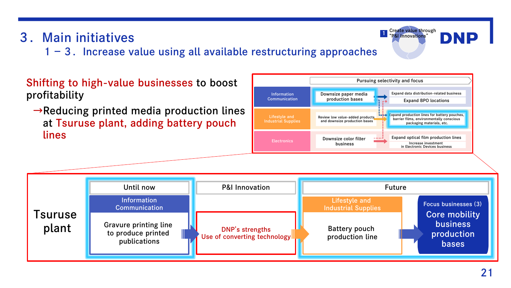# 3.Main initiatives

 $1-3$ . Increase value using all available restructuring approaches

## Shifting to high-value businesses to boost profitability

 $\rightarrow$ Reducing printed media production lines at Tsuruse plant, adding battery pouch lines



# **1** Create value through "<br>"P&I Innovations" DNP Pursuing selectivity and focus

Expand data distribution-related business Expand BPO locations

barrier films, environmentally conscious packaging materials, etc.

Expand optical film production lines Increase investment in Electronic Devices business

 $\frac{1}{1+\epsilon}$  Expand production lines for battery pouches,

Downsize color filter **Fig. 1996.**<br>Business

Downsize paper media production bases

Review low value-added products and downsize production bases

business

**Example 2 Information** 

Communication

Lifestyle and Industrial Supplies

**Electronics**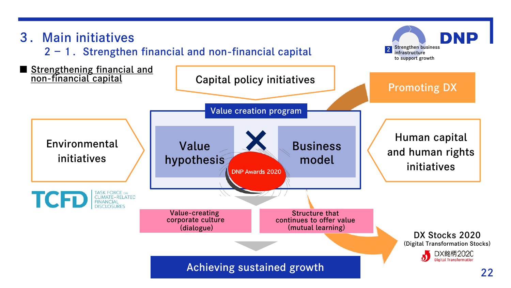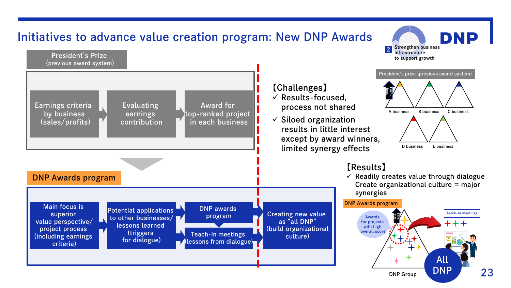

23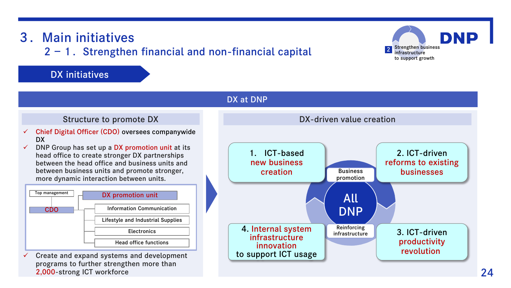#### Structure to promote DX and DX-driven value creation  $\checkmark$  Chief Digital Officer (CDO) oversees companywide DX  $\checkmark$  DNP Group has set up a DX promotion unit at its head office to create stronger DX partnerships between the head office and business units and between business units and promote stronger, more dynamic interaction between units. Top management Information Communication Lifestyle and Industrial Supplies **Electronics** Head office functions DX promotion unit CDO DX at DNP All DNP 3. ICT-driven productivity revolution 2. ICT-driven reforms to existing businesses 1. ICT-based new business creation 4. Internal system infrastructure innovation to support ICT usage **Business** promotion Reinforcing infrastructure  $\checkmark$  Create and expand systems and development programs to further strengthen more than

# 3.Main initiatives

 $2 - 1$ . Strengthen financial and non-financial capital

### DX initiatives

2,000-strong ICT workforce

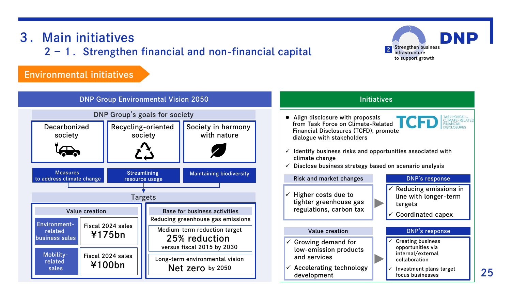# 3.Main initiatives

 $2 - 1$ . Strengthen financial and non-financial capital

### Environmental initiatives



#### Initiatives

• Align disclosure with proposals from Task Force on Climate-Related Financial Disclosures (TCFD), promote dialogue with stakeholders



**DNP** 

- $\checkmark$  Identify business risks and opportunities associated with climate change
- $\checkmark$  Disclose business strategy based on scenario analysis

## $\checkmark$  Higher costs due to tighter greenhouse gas regulations, carbon tax

- $\checkmark$  Growing demand for low-emission products and services
- $\checkmark$  Accelerating technology development

#### Risk and market changes **DNP's response**

**Strengthen business** infrastructure to support growth

- $\checkmark$  Reducing emissions in line with longer-term targets
- Coordinated capex

#### Value creation **DNP's response**

- Creating business opportunities via internal/external collaboration
- Investment plans target focus businesses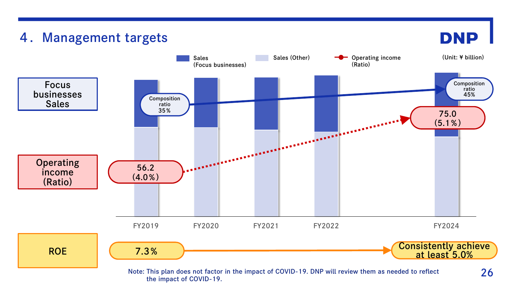

the impact of COVID-19.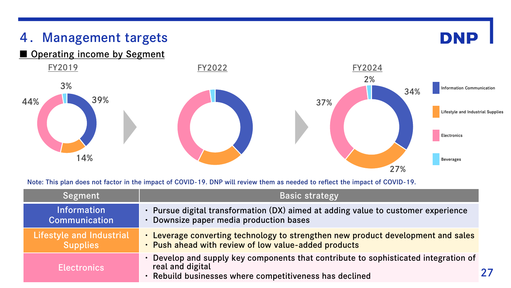

Note: This plan does not factor in the impact of COVID-19. DNP will review them as needed to reflect the impact of COVID-19.

| Segment                                     | <b>Basic strategy</b>                                                                                                                                            |  |
|---------------------------------------------|------------------------------------------------------------------------------------------------------------------------------------------------------------------|--|
| <b>Information</b><br><b>Communication</b>  | • Pursue digital transformation (DX) aimed at adding value to customer experience<br>Downsize paper media production bases                                       |  |
| Lifestyle and Industrial<br><b>Supplies</b> | . Leverage converting technology to strengthen new product development and sales<br>. Push ahead with review of low value-added products                         |  |
| <b>Electronics</b>                          | Develop and supply key components that contribute to sophisticated integration of<br>real and digital<br>· Rebuild businesses where competitiveness has declined |  |